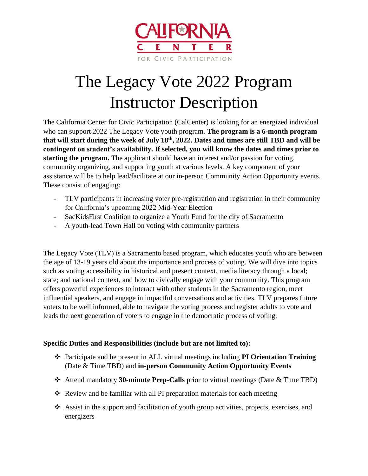

## The Legacy Vote 2022 Program Instructor Description

The California Center for Civic Participation (CalCenter) is looking for an energized individual who can support 2022 The Legacy Vote youth program. **The program is a 6-month program that will start during the week of July 18th, 2022. Dates and times are still TBD and will be contingent on student's availability. If selected, you will know the dates and times prior to starting the program.** The applicant should have an interest and/or passion for voting, community organizing, and supporting youth at various levels. A key component of your assistance will be to help lead/facilitate at our in-person Community Action Opportunity events. These consist of engaging:

- TLV participants in increasing voter pre-registration and registration in their community for California's upcoming 2022 Mid-Year Election
- SacKidsFirst Coalition to organize a Youth Fund for the city of Sacramento
- A youth-lead Town Hall on voting with community partners

The Legacy Vote (TLV) is a Sacramento based program, which educates youth who are between the age of 13-19 years old about the importance and process of voting. We will dive into topics such as voting accessibility in historical and present context, media literacy through a local; state; and national context, and how to civically engage with your community. This program offers powerful experiences to interact with other students in the Sacramento region, meet influential speakers, and engage in impactful conversations and activities. TLV prepares future voters to be well informed, able to navigate the voting process and register adults to vote and leads the next generation of voters to engage in the democratic process of voting.

## **Specific Duties and Responsibilities (include but are not limited to):**

- ❖ Participate and be present in ALL virtual meetings including **PI Orientation Training** (Date & Time TBD) and **in-person Community Action Opportunity Events**
- ❖ Attend mandatory **30-minute Prep-Calls** prior to virtual meetings (Date & Time TBD)
- ❖ Review and be familiar with all PI preparation materials for each meeting
- ❖ Assist in the support and facilitation of youth group activities, projects, exercises, and energizers